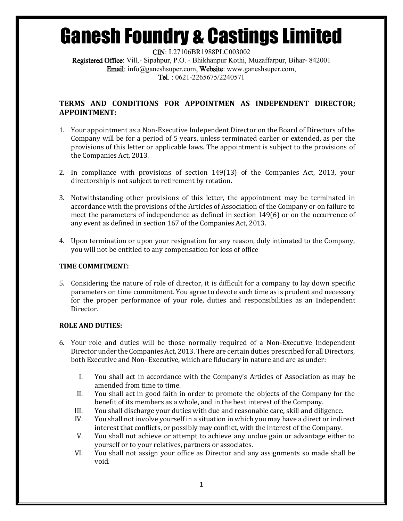CIN: L27106BR1988PLC003002 Registered Office: Vill.- Sipahpur, P.O. - Bhikhanpur Kothi, Muzaffarpur, Bihar- 842001 Email: info@ganeshsuper.com, Website: www.ganeshsuper.com, Tel. : 0621-2265675/2240571

## **TERMS AND CONDITIONS FOR APPOINTMEN AS INDEPENDENT DIRECTOR; APPOINTMENT:**

- 1. Your appointment as a Non-Executive Independent Director on the Board of Directors of the Company will be for a period of 5 years, unless terminated earlier or extended, as per the provisions of this letter or applicable laws. The appointment is subject to the provisions of the Companies Act, 2013.
- 2. In compliance with provisions of section 149(13) of the Companies Act, 2013, your directorship is not subject to retirement by rotation.
- 3. Notwithstanding other provisions of this letter, the appointment may be terminated in accordance with the provisions of the Articles of Association of the Company or on failure to meet the parameters of independence as defined in section 149(6) or on the occurrence of any event as defined in section 167 of the Companies Act, 2013.
- 4. Upon termination or upon your resignation for any reason, duly intimated to the Company, you will not be entitled to any compensation for loss of office

## **TIME COMMITMENT:**

5. Considering the nature of role of director, it is difficult for a company to lay down specific parameters on time commitment. You agree to devote such time as is prudent and necessary for the proper performance of your role, duties and responsibilities as an Independent Director.

## **ROLE AND DUTIES:**

- 6. Your role and duties will be those normally required of a Non-Executive Independent Director under the Companies Act, 2013. There are certain duties prescribed for all Directors, both Executive and Non- Executive, which are fiduciary in nature and are as under:
	- I. You shall act in accordance with the Company's Articles of Association as may be amended from time to time.
	- II. You shall act in good faith in order to promote the objects of the Company for the benefit of its members as a whole, and in the best interest of the Company.
	- III. You shall discharge your duties with due and reasonable care, skill and diligence.
	- IV. You shall not involve yourself in a situation in which you may have a direct or indirect interest that conflicts, or possibly may conflict, with the interest of the Company.
	- V. You shall not achieve or attempt to achieve any undue gain or advantage either to yourself or to your relatives, partners or associates.
	- VI. You shall not assign your office as Director and any assignments so made shall be void.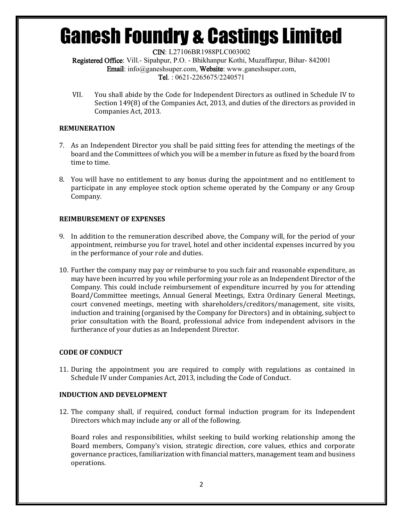CIN: L27106BR1988PLC003002

Registered Office: Vill.- Sipahpur, P.O. - Bhikhanpur Kothi, Muzaffarpur, Bihar- 842001 Email: info@ganeshsuper.com, Website: www.ganeshsuper.com, Tel. : 0621-2265675/2240571

VII. You shall abide by the Code for Independent Directors as outlined in Schedule IV to Section 149(8) of the Companies Act, 2013, and duties of the directors as provided in Companies Act, 2013.

## **REMUNERATION**

- 7. As an Independent Director you shall be paid sitting fees for attending the meetings of the board and the Committees of which you will be a member in future as fixed by the board from time to time.
- 8. You will have no entitlement to any bonus during the appointment and no entitlement to participate in any employee stock option scheme operated by the Company or any Group Company.

## **REIMBURSEMENT OF EXPENSES**

- 9. In addition to the remuneration described above, the Company will, for the period of your appointment, reimburse you for travel, hotel and other incidental expenses incurred by you in the performance of your role and duties.
- 10. Further the company may pay or reimburse to you such fair and reasonable expenditure, as may have been incurred by you while performing your role as an Independent Director of the Company. This could include reimbursement of expenditure incurred by you for attending Board/Committee meetings, Annual General Meetings, Extra Ordinary General Meetings, court convened meetings, meeting with shareholders/creditors/management, site visits, induction and training (organised by the Company for Directors) and in obtaining, subject to prior consultation with the Board, professional advice from independent advisors in the furtherance of your duties as an Independent Director.

## **CODE OF CONDUCT**

11. During the appointment you are required to comply with regulations as contained in Schedule IV under Companies Act, 2013, including the Code of Conduct.

## **INDUCTION AND DEVELOPMENT**

12. The company shall, if required, conduct formal induction program for its Independent Directors which may include any or all of the following.

Board roles and responsibilities, whilst seeking to build working relationship among the Board members, Company's vision, strategic direction, core values, ethics and corporate governance practices, familiarization with financial matters, management team and business operations.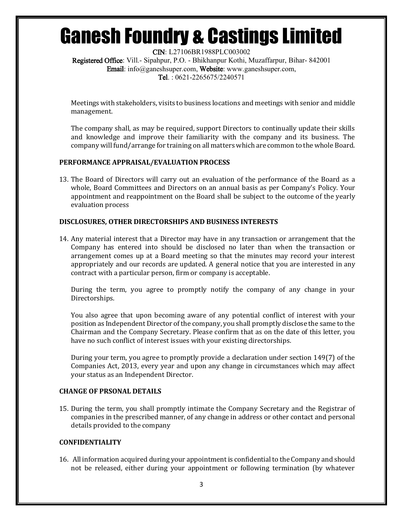CIN: L27106BR1988PLC003002 Registered Office: Vill.- Sipahpur, P.O. - Bhikhanpur Kothi, Muzaffarpur, Bihar- 842001 Email: info@ganeshsuper.com, Website: www.ganeshsuper.com, Tel. : 0621-2265675/2240571

Meetings with stakeholders, visits to business locations and meetings with senior and middle management.

The company shall, as may be required, support Directors to continually update their skills and knowledge and improve their familiarity with the company and its business. The company will fund/arrange for training on all matters which are common to the whole Board.

### **PERFORMANCE APPRAISAL/EVALUATION PROCESS**

13. The Board of Directors will carry out an evaluation of the performance of the Board as a whole, Board Committees and Directors on an annual basis as per Company's Policy. Your appointment and reappointment on the Board shall be subject to the outcome of the yearly evaluation process

### **DISCLOSURES, OTHER DIRECTORSHIPS AND BUSINESS INTERESTS**

14. Any material interest that a Director may have in any transaction or arrangement that the Company has entered into should be disclosed no later than when the transaction or arrangement comes up at a Board meeting so that the minutes may record your interest appropriately and our records are updated. A general notice that you are interested in any contract with a particular person, firm or company is acceptable.

During the term, you agree to promptly notify the company of any change in your Directorships.

You also agree that upon becoming aware of any potential conflict of interest with your position as Independent Director of the company, you shall promptly disclose the same to the Chairman and the Company Secretary. Please confirm that as on the date of this letter, you have no such conflict of interest issues with your existing directorships.

During your term, you agree to promptly provide a declaration under section 149(7) of the Companies Act, 2013, every year and upon any change in circumstances which may affect your status as an Independent Director.

### **CHANGE OF PRSONAL DETAILS**

15. During the term, you shall promptly intimate the Company Secretary and the Registrar of companies in the prescribed manner, of any change in address or other contact and personal details provided to the company

### **CONFIDENTIALITY**

16. All information acquired during your appointment is confidential to the Company and should not be released, either during your appointment or following termination (by whatever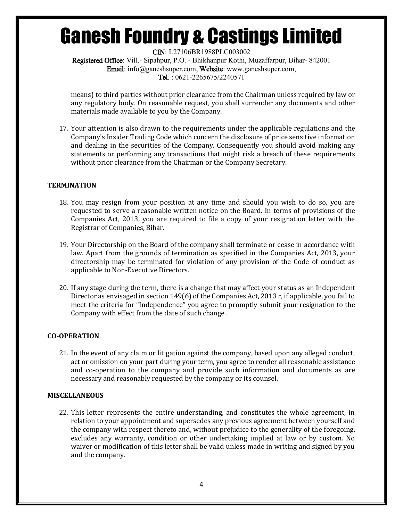CIN: L27106BR1988PLC003002 Registered Office: Vill.- Sipahpur, P.O. - Bhikhanpur Kothi, Muzaffarpur, Bihar- 842001 Email: info@ganeshsuper.com, Website: www.ganeshsuper.com, Tel. : 0621-2265675/2240571

means) to third parties without prior clearance from the Chairman unless required by law or any regulatory body. On reasonable request, you shall surrender any documents and other materials made available to you by the Company.

17. Your attention is also drawn to the requirements under the applicable regulations and the Company's Insider Trading Code which concern the disclosure of price sensitive information and dealing in the securities of the Company. Consequently you should avoid making any statements or performing any transactions that might risk a breach of these requirements without prior clearance from the Chairman or the Company Secretary.

### **TERMINATION**

- 18. You may resign from your position at any time and should you wish to do so, you are requested to serve a reasonable written notice on the Board. In terms of provisions of the Companies Act, 2013, you are required to file a copy of your resignation letter with the Registrar of Companies, Bihar.
- 19. Your Directorship on the Board of the company shall terminate or cease in accordance with law. Apart from the grounds of termination as specified in the Companies Act, 2013, your directorship may be terminated for violation of any provision of the Code of conduct as applicable to Non-Executive Directors.
- 20. If any stage during the term, there is a change that may affect your status as an Independent Director as envisaged in section 149(6) of the Companies Act, 2013 r, if applicable, you fail to meet the criteria for "Independence" you agree to promptly submit your resignation to the Company with effect from the date of such change .

## **CO-OPERATION**

21. In the event of any claim or litigation against the company, based upon any alleged conduct, act or omission on your part during your term, you agree to render all reasonable assistance and co-operation to the company and provide such information and documents as are necessary and reasonably requested by the company or its counsel.

### **MISCELLANEOUS**

22. This letter represents the entire understanding, and constitutes the whole agreement, in relation to your appointment and supersedes any previous agreement between yourself and the company with respect thereto and, without prejudice to the generality of the foregoing, excludes any warranty, condition or other undertaking implied at law or by custom. No waiver or modification of this letter shall be valid unless made in writing and signed by you and the company.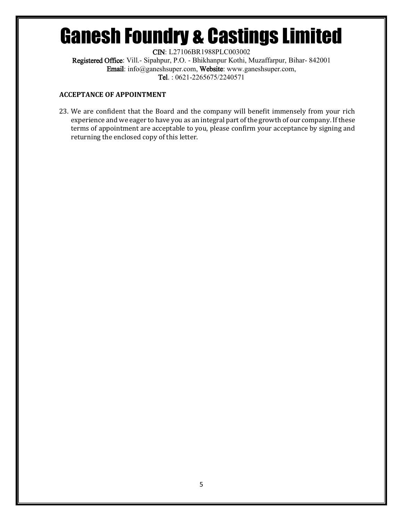CIN: L27106BR1988PLC003002 Registered Office: Vill.- Sipahpur, P.O. - Bhikhanpur Kothi, Muzaffarpur, Bihar- 842001 Email: info@ganeshsuper.com, Website: www.ganeshsuper.com, Tel. : 0621-2265675/2240571

## **ACCEPTANCE OF APPOINTMENT**

23. We are confident that the Board and the company will benefit immensely from your rich experience and we eager to have you as an integral part of the growth of our company. If these terms of appointment are acceptable to you, please confirm your acceptance by signing and returning the enclosed copy of this letter.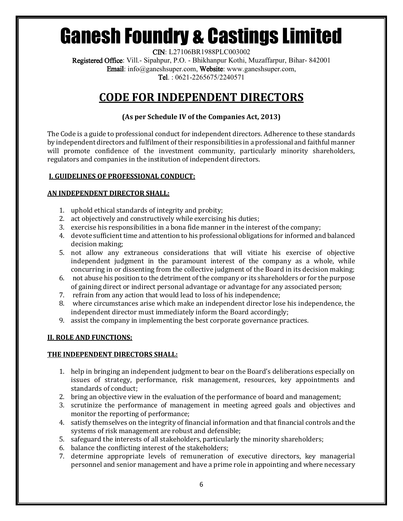CIN: L27106BR1988PLC003002 Registered Office: Vill.- Sipahpur, P.O. - Bhikhanpur Kothi, Muzaffarpur, Bihar- 842001 Email: info@ganeshsuper.com, Website: www.ganeshsuper.com, Tel. : 0621-2265675/2240571

## **CODE FOR INDEPENDENT DIRECTORS**

## **(As per Schedule IV of the Companies Act, 2013)**

The Code is a guide to professional conduct for independent directors. Adherence to these standards by independent directors and fulfilment of their responsibilities in a professional and faithful manner will promote confidence of the investment community, particularly minority shareholders, regulators and companies in the institution of independent directors.

## **I. GUIDELINES OF PROFESSIONAL CONDUCT:**

## **AN INDEPENDENT DIRECTOR SHALL:**

- 1. uphold ethical standards of integrity and probity;
- 2. act objectively and constructively while exercising his duties;
- 3. exercise his responsibilities in a bona fide manner in the interest of the company;
- 4. devote sufficient time and attention to his professional obligations for informed and balanced decision making;
- 5. not allow any extraneous considerations that will vitiate his exercise of objective independent judgment in the paramount interest of the company as a whole, while concurring in or dissenting from the collective judgment of the Board in its decision making;
- 6. not abuse his position to the detriment of the company or its shareholders or for the purpose of gaining direct or indirect personal advantage or advantage for any associated person;
- 7. refrain from any action that would lead to loss of his independence;
- 8. where circumstances arise which make an independent director lose his independence, the independent director must immediately inform the Board accordingly;
- 9. assist the company in implementing the best corporate governance practices.

## **II. ROLE AND FUNCTIONS:**

## **THE INDEPENDENT DIRECTORS SHALL:**

- 1. help in bringing an independent judgment to bear on the Board's deliberations especially on issues of strategy, performance, risk management, resources, key appointments and standards of conduct;
- 2. bring an objective view in the evaluation of the performance of board and management;
- 3. scrutinize the performance of management in meeting agreed goals and objectives and monitor the reporting of performance;
- 4. satisfy themselves on the integrity of financial information and that financial controls and the systems of risk management are robust and defensible;
- 5. safeguard the interests of all stakeholders, particularly the minority shareholders;
- 6. balance the conflicting interest of the stakeholders;
- 7. determine appropriate levels of remuneration of executive directors, key managerial personnel and senior management and have a prime role in appointing and where necessary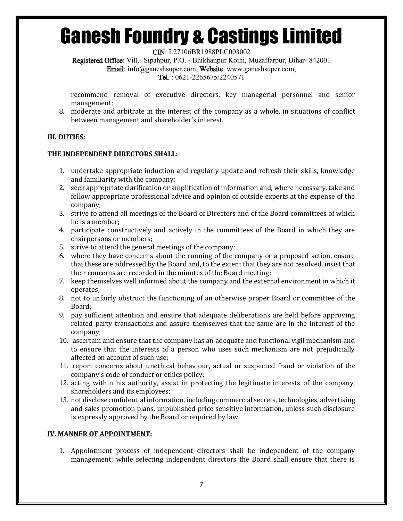CIN: L27106BR1988PLC003002

Registered Office: Vill.- Sipahpur, P.O. - Bhikhanpur Kothi, Muzaffarpur, Bihar- 842001

Email: info@ganeshsuper.com, Website: www.ganeshsuper.com,

Tel. : 0621-2265675/2240571

recommend removal of executive directors, key managerial personnel and senior management;

8. moderate and arbitrate in the interest of the company as a whole, in situations of conflict between management and shareholder's interest.

## **III. DUTIES:**

## **THE INDEPENDENT DIRECTORS SHALL:**

- 1. undertake appropriate induction and regularly update and refresh their skills, knowledge and familiarity with the company;
- 2. seek appropriate clarification or amplification of information and, where necessary, take and follow appropriate professional advice and opinion of outside experts at the expense of the company;
- 3. strive to attend all meetings of the Board of Directors and of the Board committees of which he is a member;
- 4. participate constructively and actively in the committees of the Board in which they are chairpersons or members;
- 5. strive to attend the general meetings of the company;
- 6. where they have concerns about the running of the company or a proposed action, ensure that these are addressed by the Board and, to the extent that they are not resolved, insist that their concerns are recorded in the minutes of the Board meeting;
- 7. keep themselves well informed about the company and the external environment in which it operates;
- 8. not to unfairly obstruct the functioning of an otherwise proper Board or committee of the Board;
- 9. pay sufficient attention and ensure that adequate deliberations are held before approving related party transactions and assure themselves that the same are in the interest of the company;
- 10. ascertain and ensure that the company has an adequate and functional vigil mechanism and to ensure that the interests of a person who uses such mechanism are not prejudicially affected on account of such use;
- 11. report concerns about unethical behaviour, actual or suspected fraud or violation of the company's code of conduct or ethics policy;
- 12. acting within his authority, assist in protecting the legitimate interests of the company, shareholders and its employees;
- 13. not disclose confidential information, including commercial secrets, technologies, advertising and sales promotion plans, unpublished price sensitive information, unless such disclosure is expressly approved by the Board or required by law.

## **IV. MANNER OF APPOINTMENT:**

1. Appointment process of independent directors shall be independent of the company management; while selecting independent directors the Board shall ensure that there is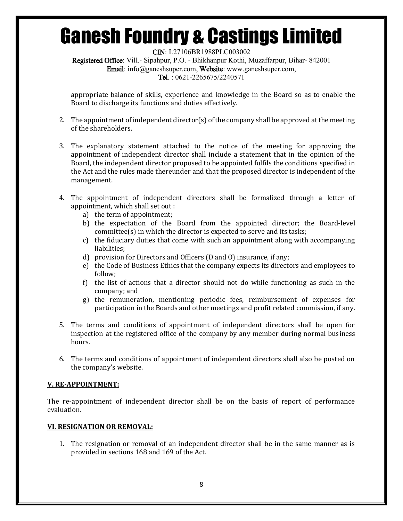CIN: L27106BR1988PLC003002 Registered Office: Vill.- Sipahpur, P.O. - Bhikhanpur Kothi, Muzaffarpur, Bihar- 842001 Email: info@ganeshsuper.com, Website: www.ganeshsuper.com, Tel. : 0621-2265675/2240571

appropriate balance of skills, experience and knowledge in the Board so as to enable the Board to discharge its functions and duties effectively.

- 2. The appointment of independent director(s) of the company shall be approved at the meeting of the shareholders.
- 3. The explanatory statement attached to the notice of the meeting for approving the appointment of independent director shall include a statement that in the opinion of the Board, the independent director proposed to be appointed fulfils the conditions specified in the Act and the rules made thereunder and that the proposed director is independent of the management.
- 4. The appointment of independent directors shall be formalized through a letter of appointment, which shall set out :
	- a) the term of appointment;
	- b) the expectation of the Board from the appointed director; the Board-level committee(s) in which the director is expected to serve and its tasks;
	- c) the fiduciary duties that come with such an appointment along with accompanying liabilities;
	- d) provision for Directors and Officers (D and O) insurance, if any;
	- e) the Code of Business Ethics that the company expects its directors and employees to follow;
	- f) the list of actions that a director should not do while functioning as such in the company; and
	- g) the remuneration, mentioning periodic fees, reimbursement of expenses for participation in the Boards and other meetings and profit related commission, if any.
- 5. The terms and conditions of appointment of independent directors shall be open for inspection at the registered office of the company by any member during normal business hours.
- 6. The terms and conditions of appointment of independent directors shall also be posted on the company's website.

## **V. RE-APPOINTMENT:**

The re-appointment of independent director shall be on the basis of report of performance evaluation.

## **VI. RESIGNATION OR REMOVAL:**

1. The resignation or removal of an independent director shall be in the same manner as is provided in sections 168 and 169 of the Act.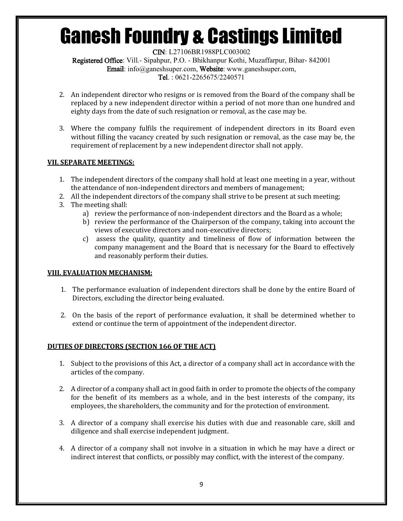CIN: L27106BR1988PLC003002

Registered Office: Vill.- Sipahpur, P.O. - Bhikhanpur Kothi, Muzaffarpur, Bihar- 842001 Email: info@ganeshsuper.com, Website: www.ganeshsuper.com, Tel. : 0621-2265675/2240571

- 2. An independent director who resigns or is removed from the Board of the company shall be replaced by a new independent director within a period of not more than one hundred and eighty days from the date of such resignation or removal, as the case may be.
- 3. Where the company fulfils the requirement of independent directors in its Board even without filling the vacancy created by such resignation or removal, as the case may be, the requirement of replacement by a new independent director shall not apply.

## **VII. SEPARATE MEETINGS:**

- 1. The independent directors of the company shall hold at least one meeting in a year, without the attendance of non-independent directors and members of management;
- 2. All the independent directors of the company shall strive to be present at such meeting;
- 3. The meeting shall:
	- a) review the performance of non-independent directors and the Board as a whole;
	- b) review the performance of the Chairperson of the company, taking into account the views of executive directors and non-executive directors;
	- c) assess the quality, quantity and timeliness of flow of information between the company management and the Board that is necessary for the Board to effectively and reasonably perform their duties.

## **VIII. EVALUATION MECHANISM:**

- 1. The performance evaluation of independent directors shall be done by the entire Board of Directors, excluding the director being evaluated.
- 2. On the basis of the report of performance evaluation, it shall be determined whether to extend or continue the term of appointment of the independent director.

## **DUTIES OF DIRECTORS (SECTION 166 OF THE ACT)**

- 1. Subject to the provisions of this Act, a director of a company shall act in accordance with the articles of the company.
- 2. A director of a company shall act in good faith in order to promote the objects of the company for the benefit of its members as a whole, and in the best interests of the company, its employees, the shareholders, the community and for the protection of environment.
- 3. A director of a company shall exercise his duties with due and reasonable care, skill and diligence and shall exercise independent judgment.
- 4. A director of a company shall not involve in a situation in which he may have a direct or indirect interest that conflicts, or possibly may conflict, with the interest of the company.